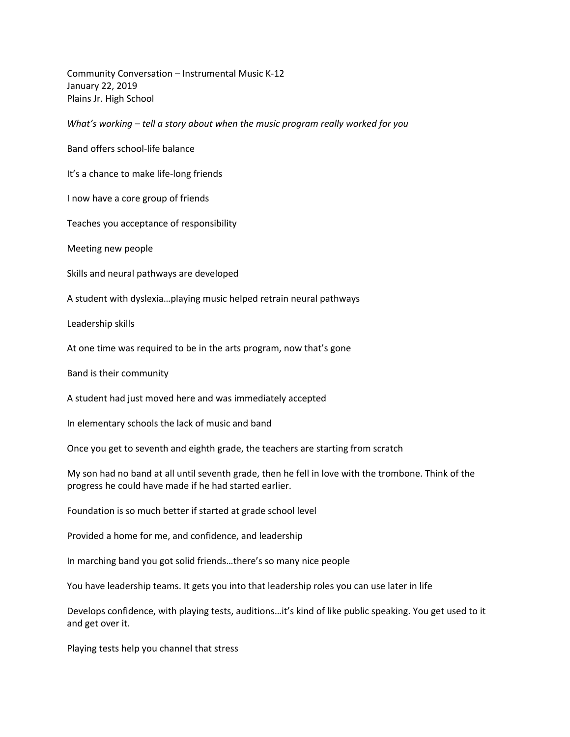Community Conversation – Instrumental Music K-12 January 22, 2019 Plains Jr. High School

*What's working – tell a story about when the music program really worked for you*

Band offers school-life balance

It's a chance to make life-long friends

I now have a core group of friends

Teaches you acceptance of responsibility

Meeting new people

Skills and neural pathways are developed

A student with dyslexia…playing music helped retrain neural pathways

Leadership skills

At one time was required to be in the arts program, now that's gone

Band is their community

A student had just moved here and was immediately accepted

In elementary schools the lack of music and band

Once you get to seventh and eighth grade, the teachers are starting from scratch

My son had no band at all until seventh grade, then he fell in love with the trombone. Think of the progress he could have made if he had started earlier.

Foundation is so much better if started at grade school level

Provided a home for me, and confidence, and leadership

In marching band you got solid friends…there's so many nice people

You have leadership teams. It gets you into that leadership roles you can use later in life

Develops confidence, with playing tests, auditions…it's kind of like public speaking. You get used to it and get over it.

Playing tests help you channel that stress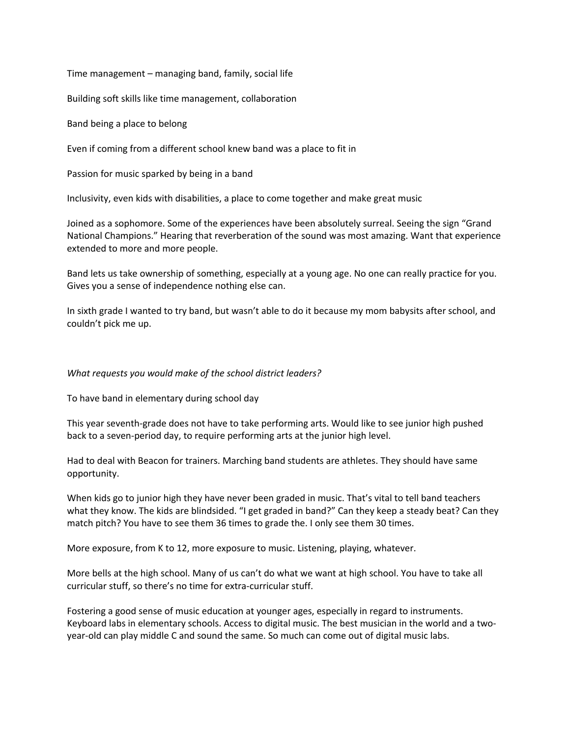Time management – managing band, family, social life

Building soft skills like time management, collaboration

Band being a place to belong

Even if coming from a different school knew band was a place to fit in

Passion for music sparked by being in a band

Inclusivity, even kids with disabilities, a place to come together and make great music

Joined as a sophomore. Some of the experiences have been absolutely surreal. Seeing the sign "Grand National Champions." Hearing that reverberation of the sound was most amazing. Want that experience extended to more and more people.

Band lets us take ownership of something, especially at a young age. No one can really practice for you. Gives you a sense of independence nothing else can.

In sixth grade I wanted to try band, but wasn't able to do it because my mom babysits after school, and couldn't pick me up.

## *What requests you would make of the school district leaders?*

To have band in elementary during school day

This year seventh-grade does not have to take performing arts. Would like to see junior high pushed back to a seven-period day, to require performing arts at the junior high level.

Had to deal with Beacon for trainers. Marching band students are athletes. They should have same opportunity.

When kids go to junior high they have never been graded in music. That's vital to tell band teachers what they know. The kids are blindsided. "I get graded in band?" Can they keep a steady beat? Can they match pitch? You have to see them 36 times to grade the. I only see them 30 times.

More exposure, from K to 12, more exposure to music. Listening, playing, whatever.

More bells at the high school. Many of us can't do what we want at high school. You have to take all curricular stuff, so there's no time for extra-curricular stuff.

Fostering a good sense of music education at younger ages, especially in regard to instruments. Keyboard labs in elementary schools. Access to digital music. The best musician in the world and a twoyear-old can play middle C and sound the same. So much can come out of digital music labs.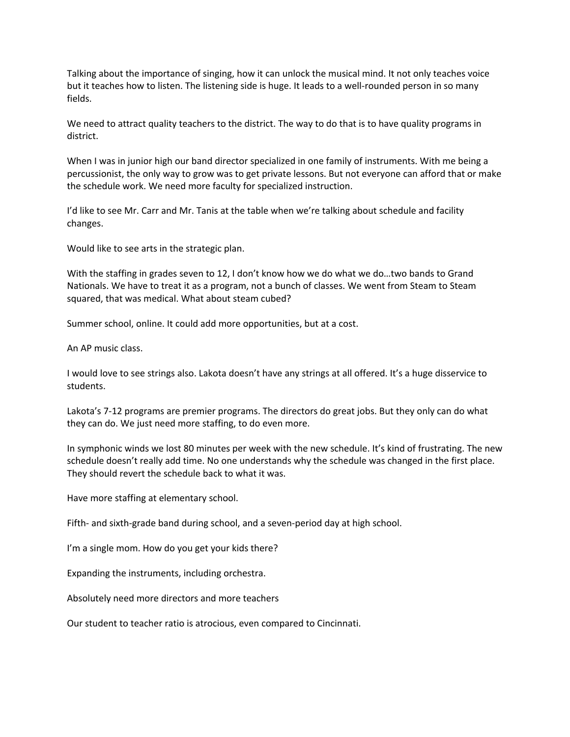Talking about the importance of singing, how it can unlock the musical mind. It not only teaches voice but it teaches how to listen. The listening side is huge. It leads to a well-rounded person in so many fields.

We need to attract quality teachers to the district. The way to do that is to have quality programs in district.

When I was in junior high our band director specialized in one family of instruments. With me being a percussionist, the only way to grow was to get private lessons. But not everyone can afford that or make the schedule work. We need more faculty for specialized instruction.

I'd like to see Mr. Carr and Mr. Tanis at the table when we're talking about schedule and facility changes.

Would like to see arts in the strategic plan.

With the staffing in grades seven to 12, I don't know how we do what we do...two bands to Grand Nationals. We have to treat it as a program, not a bunch of classes. We went from Steam to Steam squared, that was medical. What about steam cubed?

Summer school, online. It could add more opportunities, but at a cost.

An AP music class.

I would love to see strings also. Lakota doesn't have any strings at all offered. It's a huge disservice to students.

Lakota's 7-12 programs are premier programs. The directors do great jobs. But they only can do what they can do. We just need more staffing, to do even more.

In symphonic winds we lost 80 minutes per week with the new schedule. It's kind of frustrating. The new schedule doesn't really add time. No one understands why the schedule was changed in the first place. They should revert the schedule back to what it was.

Have more staffing at elementary school.

Fifth- and sixth-grade band during school, and a seven-period day at high school.

I'm a single mom. How do you get your kids there?

Expanding the instruments, including orchestra.

Absolutely need more directors and more teachers

Our student to teacher ratio is atrocious, even compared to Cincinnati.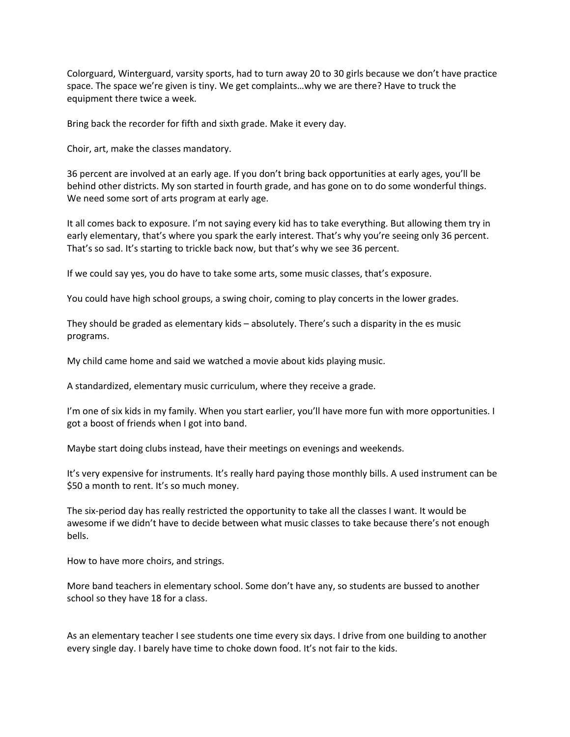Colorguard, Winterguard, varsity sports, had to turn away 20 to 30 girls because we don't have practice space. The space we're given is tiny. We get complaints…why we are there? Have to truck the equipment there twice a week.

Bring back the recorder for fifth and sixth grade. Make it every day.

Choir, art, make the classes mandatory.

36 percent are involved at an early age. If you don't bring back opportunities at early ages, you'll be behind other districts. My son started in fourth grade, and has gone on to do some wonderful things. We need some sort of arts program at early age.

It all comes back to exposure. I'm not saying every kid has to take everything. But allowing them try in early elementary, that's where you spark the early interest. That's why you're seeing only 36 percent. That's so sad. It's starting to trickle back now, but that's why we see 36 percent.

If we could say yes, you do have to take some arts, some music classes, that's exposure.

You could have high school groups, a swing choir, coming to play concerts in the lower grades.

They should be graded as elementary kids – absolutely. There's such a disparity in the es music programs.

My child came home and said we watched a movie about kids playing music.

A standardized, elementary music curriculum, where they receive a grade.

I'm one of six kids in my family. When you start earlier, you'll have more fun with more opportunities. I got a boost of friends when I got into band.

Maybe start doing clubs instead, have their meetings on evenings and weekends.

It's very expensive for instruments. It's really hard paying those monthly bills. A used instrument can be \$50 a month to rent. It's so much money.

The six-period day has really restricted the opportunity to take all the classes I want. It would be awesome if we didn't have to decide between what music classes to take because there's not enough bells.

How to have more choirs, and strings.

More band teachers in elementary school. Some don't have any, so students are bussed to another school so they have 18 for a class.

As an elementary teacher I see students one time every six days. I drive from one building to another every single day. I barely have time to choke down food. It's not fair to the kids.